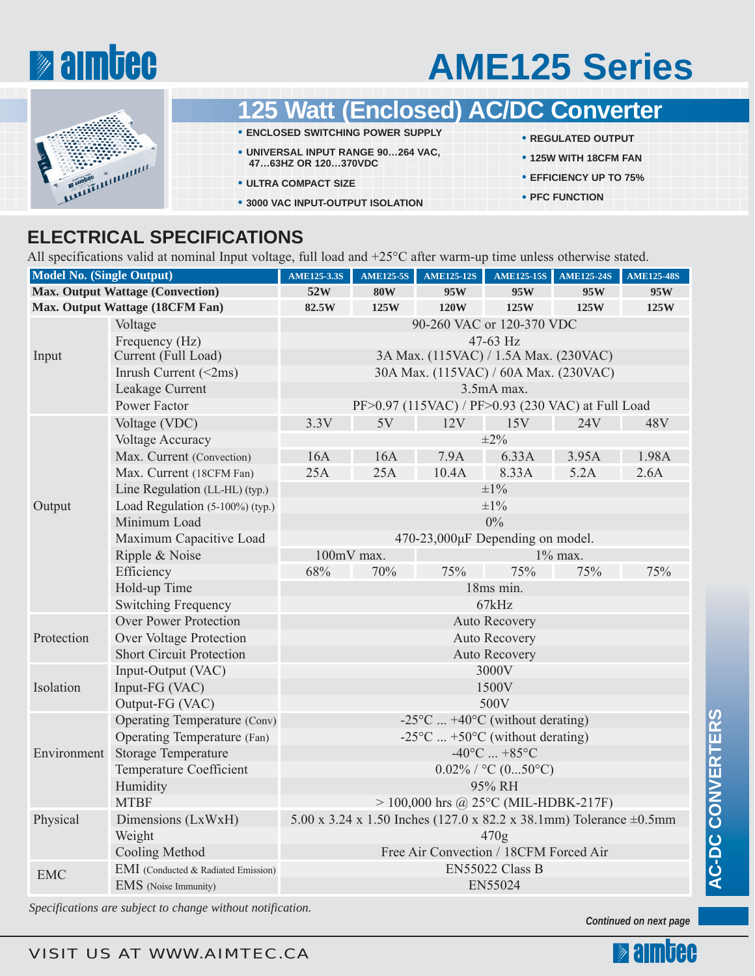

# **AME125 Series**



- *<b>1att (Enclosed) AC/DC Converter*
- **ENCLOSED SWITCHING POWER SUPPLY**
- **UNIVERSAL INPUT RANGE 90…264 VAC, 47…63HZ OR 120…370VDC**
- **ULTRA COMPACT SIZE**
- **3000 VAC INPUT-OUTPUT ISOLATION**
- **REGULATED OUTPUT**
- **125W WITH 18CFM FAN**
- **EFFICIENCY UP TO 75%**
- **PFC FUNCTION**

### **ELECTRICAL SPECIFICATIONS**

All specifications valid at nominal Input voltage, full load and +25°C after warm-up time unless otherwise stated.

| <b>Model No. (Single Output)</b>        |                                     | <b>AME125-3.3S</b>                                                       | <b>AME125-5S</b> | <b>AME125-12S</b> | <b>AME125-15S</b> | <b>AME125-24S</b> | <b>AME125-48S</b> |
|-----------------------------------------|-------------------------------------|--------------------------------------------------------------------------|------------------|-------------------|-------------------|-------------------|-------------------|
| <b>Max. Output Wattage (Convection)</b> |                                     | 52W                                                                      | <b>80W</b>       | 95W               | 95W               | 95W               | 95W               |
| Max. Output Wattage (18CFM Fan)         |                                     | 82.5W                                                                    | 125W             | 120W              | 125W              | 125W              | 125W              |
| Input                                   | Voltage                             | 90-260 VAC or 120-370 VDC                                                |                  |                   |                   |                   |                   |
|                                         | Frequency (Hz)                      | 47-63 Hz                                                                 |                  |                   |                   |                   |                   |
|                                         | Current (Full Load)                 | 3A Max. (115VAC) / 1.5A Max. (230VAC)                                    |                  |                   |                   |                   |                   |
|                                         | Inrush Current $(\leq 2ms)$         | 30A Max. (115VAC) / 60A Max. (230VAC)                                    |                  |                   |                   |                   |                   |
|                                         | Leakage Current                     | 3.5mA max.                                                               |                  |                   |                   |                   |                   |
|                                         | Power Factor                        | PF>0.97 (115VAC) / PF>0.93 (230 VAC) at Full Load                        |                  |                   |                   |                   |                   |
| Output                                  | Voltage (VDC)                       | 3.3V                                                                     | 5V               | 12V               | 15V               | 24V               | 48V               |
|                                         | <b>Voltage Accuracy</b>             | $\pm 2\%$                                                                |                  |                   |                   |                   |                   |
|                                         | Max. Current (Convection)           | 16A                                                                      | 16A              | 7.9A              | 6.33A             | 3.95A             | 1.98A             |
|                                         | Max. Current (18CFM Fan)            | 25A                                                                      | 25A              | 10.4A             | 8.33A             | 5.2A              | 2.6A              |
|                                         | Line Regulation (LL-HL) (typ.)      | $\pm 1\%$                                                                |                  |                   |                   |                   |                   |
|                                         | Load Regulation (5-100%) (typ.)     | $\pm 1\%$                                                                |                  |                   |                   |                   |                   |
|                                         | Minimum Load                        | $0\%$                                                                    |                  |                   |                   |                   |                   |
|                                         | Maximum Capacitive Load             | 470-23,000µF Depending on model.                                         |                  |                   |                   |                   |                   |
|                                         | Ripple & Noise                      | 100mV max.<br>1% max.                                                    |                  |                   |                   |                   |                   |
|                                         | Efficiency                          | 68%                                                                      | 70%              | 75%               | 75%               | 75%               | 75%               |
|                                         | Hold-up Time                        | 18ms min.                                                                |                  |                   |                   |                   |                   |
|                                         | <b>Switching Frequency</b>          | 67kHz                                                                    |                  |                   |                   |                   |                   |
| Protection                              | <b>Over Power Protection</b>        | <b>Auto Recovery</b>                                                     |                  |                   |                   |                   |                   |
|                                         | Over Voltage Protection             | <b>Auto Recovery</b>                                                     |                  |                   |                   |                   |                   |
|                                         | <b>Short Circuit Protection</b>     | <b>Auto Recovery</b>                                                     |                  |                   |                   |                   |                   |
| Isolation                               | Input-Output (VAC)                  | 3000V                                                                    |                  |                   |                   |                   |                   |
|                                         | Input-FG (VAC)                      | 1500V                                                                    |                  |                   |                   |                   |                   |
|                                         | Output-FG (VAC)                     | 500V                                                                     |                  |                   |                   |                   |                   |
| Environment                             | Operating Temperature (Conv)        | $-25^{\circ}$ C $+40^{\circ}$ C (without derating)                       |                  |                   |                   |                   |                   |
|                                         | <b>Operating Temperature</b> (Fan)  | $-25^{\circ}$ C  +50 $^{\circ}$ C (without derating)                     |                  |                   |                   |                   |                   |
|                                         | <b>Storage Temperature</b>          | $-40^{\circ}$ C $+85^{\circ}$ C                                          |                  |                   |                   |                   |                   |
|                                         | <b>Temperature Coefficient</b>      | $0.02\%$ / °C (050°C)                                                    |                  |                   |                   |                   |                   |
|                                         | Humidity                            | 95% RH                                                                   |                  |                   |                   |                   |                   |
|                                         | <b>MTBF</b>                         | $> 100,000$ hrs @ 25°C (MIL-HDBK-217F)                                   |                  |                   |                   |                   |                   |
| Physical                                | Dimensions (LxWxH)                  | 5.00 x 3.24 x 1.50 Inches (127.0 x 82.2 x 38.1mm) Tolerance $\pm 0.5$ mm |                  |                   |                   |                   |                   |
|                                         | Weight                              | 470g                                                                     |                  |                   |                   |                   |                   |
|                                         | Cooling Method                      | Free Air Convection / 18CFM Forced Air                                   |                  |                   |                   |                   |                   |
| <b>EMC</b>                              | EMI (Conducted & Radiated Emission) | EN55022 Class B                                                          |                  |                   |                   |                   |                   |
|                                         | EMS (Noise Immunity)                | EN55024                                                                  |                  |                   |                   |                   |                   |

*Specifications are subject to change without notification.*